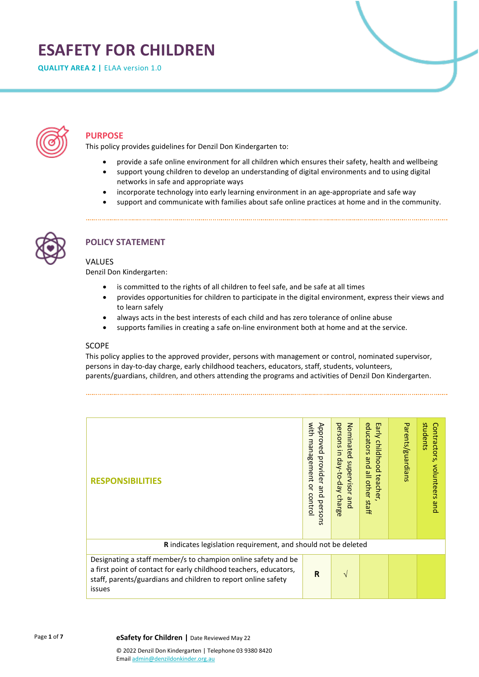# **ESAFETY FOR CHILDREN**

**QUALITY AREA 2 |** ELAA version 1.0



# **PURPOSE**

This policy provides guidelines for Denzil Don Kindergarten to:

- provide a safe online environment for all children which ensures their safety, health and wellbeing
- support young children to develop an understanding of digital environments and to using digital networks in safe and appropriate ways
- incorporate technology into early learning environment in an age-appropriate and safe way
- support and communicate with families about safe online practices at home and in the community.



# **POLICY STATEMENT**

#### VALUES

Denzil Don Kindergarten:

- is committed to the rights of all children to feel safe, and be safe at all times
- provides opportunities for children to participate in the digital environment, express their views and to learn safely
- always acts in the best interests of each child and has zero tolerance of online abuse
- supports families in creating a safe on-line environment both at home and at the service.

#### SCOPE

This policy applies to the approved provider, persons with management or control, nominated supervisor, persons in day-to-day charge, early childhood teachers, educators, staff, students, volunteers, parents/guardians, children, and others attending the programs and activities of Denzil Don Kindergarten.

| <b>RESPONSIBILITIES</b>                                                                                                                                                                                       | with<br>Approved<br>management<br>provider<br>o<br>qnd<br>8<br>perso<br>⊃<br>Ero<br>⋾<br>$\sim$ | Nominated<br>persons<br>$\overline{5}$<br>day-to-day<br>supervisor<br>charge<br>pue | 6q<br>m<br>മ<br>콩<br>ucators<br>childho<br>9<br>ă<br>$\Omega$<br>$\equiv$<br>teach<br>other<br>$\sigma$<br>$\overline{\phantom{0}}$<br>staff | Parents/guardians | students<br>င္ပ<br>ntractors,<br>volunteers<br>pue |  |
|---------------------------------------------------------------------------------------------------------------------------------------------------------------------------------------------------------------|-------------------------------------------------------------------------------------------------|-------------------------------------------------------------------------------------|----------------------------------------------------------------------------------------------------------------------------------------------|-------------------|----------------------------------------------------|--|
| R indicates legislation requirement, and should not be deleted                                                                                                                                                |                                                                                                 |                                                                                     |                                                                                                                                              |                   |                                                    |  |
| Designating a staff member/s to champion online safety and be<br>a first point of contact for early childhood teachers, educators,<br>staff, parents/guardians and children to report online safety<br>issues | R                                                                                               | $\mathcal{N}$                                                                       |                                                                                                                                              |                   |                                                    |  |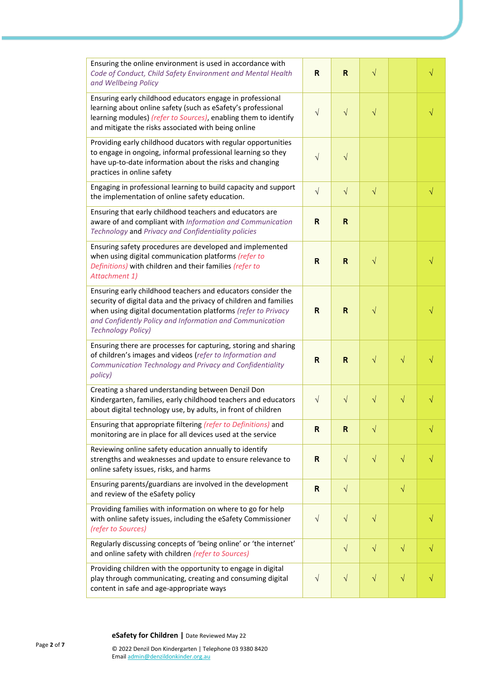| Ensuring the online environment is used in accordance with<br>Code of Conduct, Child Safety Environment and Mental Health<br>and Wellbeing Policy                                                                                                                                          | R            | $\mathsf{R}$ | $\sqrt{}$ |           | √         |
|--------------------------------------------------------------------------------------------------------------------------------------------------------------------------------------------------------------------------------------------------------------------------------------------|--------------|--------------|-----------|-----------|-----------|
| Ensuring early childhood educators engage in professional<br>learning about online safety (such as eSafety's professional<br>learning modules) (refer to Sources), enabling them to identify<br>and mitigate the risks associated with being online                                        | $\sqrt{}$    | $\sqrt{}$    | $\sqrt{}$ |           | V         |
| Providing early childhood ducators with regular opportunities<br>to engage in ongoing, informal professional learning so they<br>have up-to-date information about the risks and changing<br>practices in online safety                                                                    | $\sqrt{}$    | $\sqrt{}$    |           |           |           |
| Engaging in professional learning to build capacity and support<br>the implementation of online safety education.                                                                                                                                                                          | $\sqrt{}$    | $\sqrt{}$    | $\sqrt{}$ |           | $\sqrt{}$ |
| Ensuring that early childhood teachers and educators are<br>aware of and compliant with Information and Communication<br>Technology and Privacy and Confidentiality policies                                                                                                               | R            | R            |           |           |           |
| Ensuring safety procedures are developed and implemented<br>when using digital communication platforms (refer to<br>Definitions) with children and their families (refer to<br>Attachment 1)                                                                                               | R            | $\mathsf{R}$ | $\sqrt{}$ |           | √         |
| Ensuring early childhood teachers and educators consider the<br>security of digital data and the privacy of children and families<br>when using digital documentation platforms (refer to Privacy<br>and Confidently Policy and Information and Communication<br><b>Technology Policy)</b> | R            | R            | V         |           |           |
| Ensuring there are processes for capturing, storing and sharing<br>of children's images and videos (refer to Information and<br>Communication Technology and Privacy and Confidentiality<br>policy)                                                                                        | R            | R            | $\sqrt{}$ | $\sqrt{}$ |           |
| Creating a shared understanding between Denzil Don<br>Kindergarten, families, early childhood teachers and educators<br>about digital technology use, by adults, in front of children                                                                                                      | $\sqrt{ }$   | $\sqrt{}$    | $\sqrt{}$ | $\sqrt{}$ | N         |
| Ensuring that appropriate filtering (refer to Definitions) and<br>monitoring are in place for all devices used at the service                                                                                                                                                              | R            | R.           | $\sqrt{}$ |           | V         |
| Reviewing online safety education annually to identify<br>strengths and weaknesses and update to ensure relevance to<br>online safety issues, risks, and harms                                                                                                                             | R            | $\sqrt{}$    | $\sqrt{}$ | $\sqrt{}$ | V         |
| Ensuring parents/guardians are involved in the development<br>and review of the eSafety policy                                                                                                                                                                                             | $\mathsf{R}$ | $\sqrt{}$    |           | $\sqrt{}$ |           |
| Providing families with information on where to go for help<br>with online safety issues, including the eSafety Commissioner<br>(refer to Sources)                                                                                                                                         | $\sqrt{}$    | $\sqrt{}$    | $\sqrt{}$ |           | $\sqrt{}$ |
| Regularly discussing concepts of 'being online' or 'the internet'<br>and online safety with children (refer to Sources)                                                                                                                                                                    |              | $\sqrt{}$    | $\sqrt{}$ | $\sqrt{}$ | $\sqrt{}$ |
| Providing children with the opportunity to engage in digital<br>play through communicating, creating and consuming digital<br>content in safe and age-appropriate ways                                                                                                                     | $\sqrt{}$    | $\sqrt{}$    | $\sqrt{}$ | $\sqrt{}$ |           |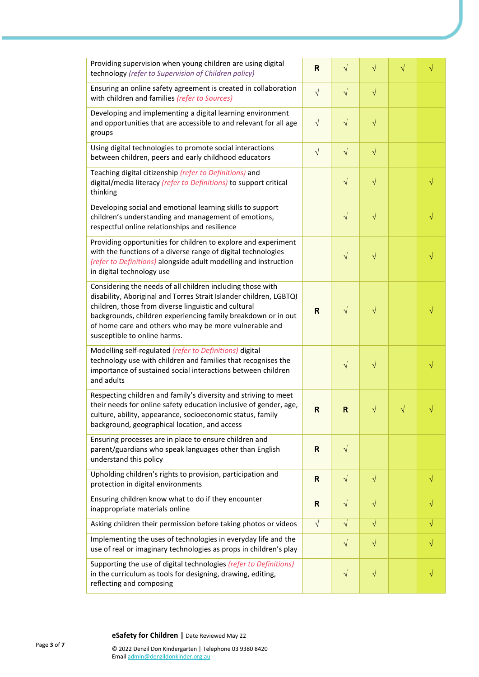| Providing supervision when young children are using digital<br>technology (refer to Supervision of Children policy)                                                                                                                                                                                                                                 | R            | $\sqrt{}$ | $\sqrt{}$ | $\sqrt{}$ |   |
|-----------------------------------------------------------------------------------------------------------------------------------------------------------------------------------------------------------------------------------------------------------------------------------------------------------------------------------------------------|--------------|-----------|-----------|-----------|---|
| Ensuring an online safety agreement is created in collaboration<br>with children and families (refer to Sources)                                                                                                                                                                                                                                    | $\sqrt{}$    | $\sqrt{}$ | $\sqrt{}$ |           |   |
| Developing and implementing a digital learning environment<br>and opportunities that are accessible to and relevant for all age<br>groups                                                                                                                                                                                                           | $\sqrt{}$    | $\sqrt{}$ | $\sqrt{}$ |           |   |
| Using digital technologies to promote social interactions<br>between children, peers and early childhood educators                                                                                                                                                                                                                                  | $\sqrt{}$    | $\sqrt{}$ | $\sqrt{}$ |           |   |
| Teaching digital citizenship (refer to Definitions) and<br>digital/media literacy (refer to Definitions) to support critical<br>thinking                                                                                                                                                                                                            |              | $\sqrt{}$ | $\sqrt{}$ |           |   |
| Developing social and emotional learning skills to support<br>children's understanding and management of emotions,<br>respectful online relationships and resilience                                                                                                                                                                                |              | $\sqrt{}$ | $\sqrt{}$ |           |   |
| Providing opportunities for children to explore and experiment<br>with the functions of a diverse range of digital technologies<br>(refer to Definitions) alongside adult modelling and instruction<br>in digital technology use                                                                                                                    |              | $\sqrt{}$ | $\sqrt{}$ |           |   |
| Considering the needs of all children including those with<br>disability, Aboriginal and Torres Strait Islander children, LGBTQI<br>children, those from diverse linguistic and cultural<br>backgrounds, children experiencing family breakdown or in out<br>of home care and others who may be more vulnerable and<br>susceptible to online harms. | R            | $\sqrt{}$ | $\sqrt{}$ |           |   |
| Modelling self-regulated (refer to Definitions) digital<br>technology use with children and families that recognises the<br>importance of sustained social interactions between children<br>and adults                                                                                                                                              |              | $\sqrt{}$ | $\sqrt{}$ |           |   |
| Respecting children and family's diversity and striving to meet<br>their needs for online safety education inclusive of gender, age,<br>culture, ability, appearance, socioeconomic status, family<br>background, geographical location, and access                                                                                                 | R            | R         | $\sqrt{}$ | $\sqrt{}$ |   |
| Ensuring processes are in place to ensure children and<br>parent/guardians who speak languages other than English<br>understand this policy                                                                                                                                                                                                         | R            | $\sqrt{}$ |           |           |   |
| Upholding children's rights to provision, participation and<br>protection in digital environments                                                                                                                                                                                                                                                   | $\mathsf{R}$ | $\sqrt{}$ | $\sqrt{}$ |           | V |
| Ensuring children know what to do if they encounter<br>inappropriate materials online                                                                                                                                                                                                                                                               | R            | $\sqrt{}$ | $\sqrt{}$ |           |   |
| Asking children their permission before taking photos or videos                                                                                                                                                                                                                                                                                     | $\sqrt{}$    | $\sqrt{}$ | $\sqrt{}$ |           |   |
| Implementing the uses of technologies in everyday life and the<br>use of real or imaginary technologies as props in children's play                                                                                                                                                                                                                 |              | $\sqrt{}$ | $\sqrt{}$ |           |   |
| Supporting the use of digital technologies (refer to Definitions)<br>in the curriculum as tools for designing, drawing, editing,<br>reflecting and composing                                                                                                                                                                                        |              | $\sqrt{}$ | $\sqrt{}$ |           |   |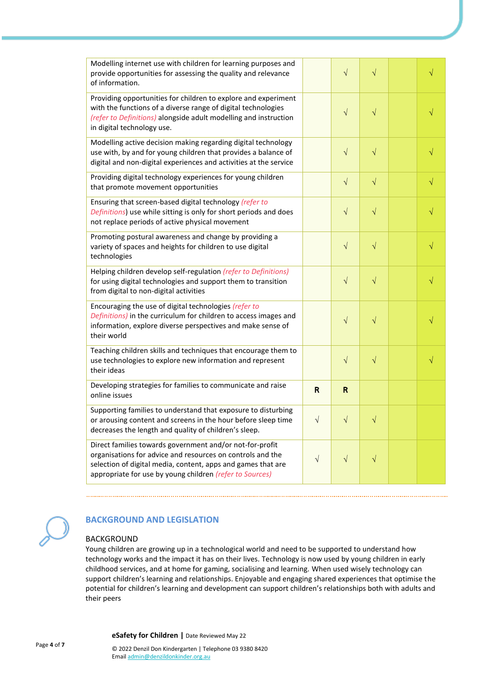| Modelling internet use with children for learning purposes and<br>provide opportunities for assessing the quality and relevance<br>of information.                                                                                                 |             | $\sqrt{}$    | $\sqrt{}$ | √         |
|----------------------------------------------------------------------------------------------------------------------------------------------------------------------------------------------------------------------------------------------------|-------------|--------------|-----------|-----------|
| Providing opportunities for children to explore and experiment<br>with the functions of a diverse range of digital technologies<br>(refer to Definitions) alongside adult modelling and instruction<br>in digital technology use.                  |             | $\sqrt{}$    | $\sqrt{}$ | V         |
| Modelling active decision making regarding digital technology<br>use with, by and for young children that provides a balance of<br>digital and non-digital experiences and activities at the service                                               |             | $\sqrt{}$    | $\sqrt{}$ | $\sqrt{}$ |
| Providing digital technology experiences for young children<br>that promote movement opportunities                                                                                                                                                 |             | $\sqrt{}$    | $\sqrt{}$ | $\sqrt{}$ |
| Ensuring that screen-based digital technology (refer to<br>Definitions) use while sitting is only for short periods and does<br>not replace periods of active physical movement                                                                    |             | $\sqrt{}$    | $\sqrt{}$ | $\sqrt{}$ |
| Promoting postural awareness and change by providing a<br>variety of spaces and heights for children to use digital<br>technologies                                                                                                                |             | $\sqrt{}$    | $\sqrt{}$ | V         |
| Helping children develop self-regulation (refer to Definitions)<br>for using digital technologies and support them to transition<br>from digital to non-digital activities                                                                         |             | $\sqrt{}$    | $\sqrt{}$ | $\sqrt{}$ |
| Encouraging the use of digital technologies (refer to<br>Definitions) in the curriculum for children to access images and<br>information, explore diverse perspectives and make sense of<br>their world                                            |             | $\sqrt{ }$   | $\sqrt{}$ |           |
| Teaching children skills and techniques that encourage them to<br>use technologies to explore new information and represent<br>their ideas                                                                                                         |             | $\sqrt{}$    | $\sqrt{}$ | $\sqrt{}$ |
| Developing strategies for families to communicate and raise<br>online issues                                                                                                                                                                       | $\mathbf R$ | $\mathsf{R}$ |           |           |
| Supporting families to understand that exposure to disturbing<br>or arousing content and screens in the hour before sleep time<br>decreases the length and quality of children's sleep.                                                            | $\sqrt{}$   |              |           |           |
| Direct families towards government and/or not-for-profit<br>organisations for advice and resources on controls and the<br>selection of digital media, content, apps and games that are<br>appropriate for use by young children (refer to Sources) | $\sqrt{}$   | $\sqrt{}$    | $\sqrt{}$ |           |



## **BACKGROUND AND LEGISLATION**

## BACKGROUND

Young children are growing up in a technological world and need to be supported to understand how technology works and the impact it has on their lives. Technology is now used by young children in early childhood services, and at home for gaming, socialising and learning. When used wisely technology can support children's learning and relationships. Enjoyable and engaging shared experiences that optimise the potential for children's learning and development can support children's relationships both with adults and their peers

© 2022 Denzil Don Kindergarten | Telephone 03 9380 8420 Emai[l admin@denzildonkinder.org.au](mailto:admin@denzildonkinder.org.au)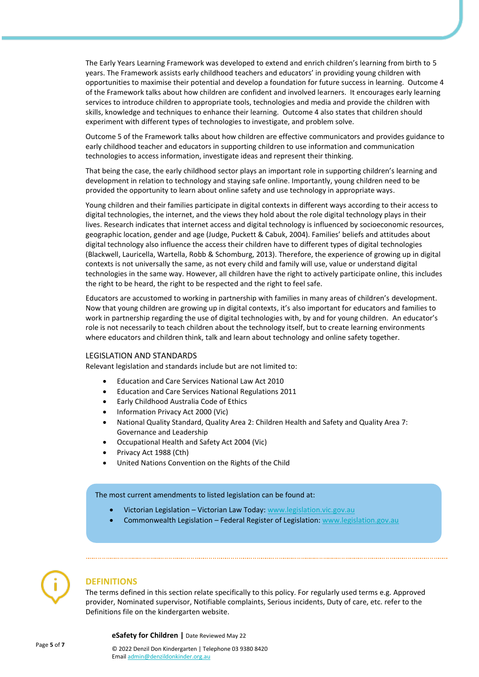The Early Years Learning Framework was developed to extend and enrich children's learning from birth to 5 years. The Framework assists early childhood teachers and educators' in providing young children with opportunities to maximise their potential and develop a foundation for future success in learning. Outcome 4 of the Framework talks about how children are confident and involved learners. It encourages early learning services to introduce children to appropriate tools, technologies and media and provide the children with skills, knowledge and techniques to enhance their learning. Outcome 4 also states that children should experiment with different types of technologies to investigate, and problem solve.

Outcome 5 of the Framework talks about how children are effective communicators and provides guidance to early childhood teacher and educators in supporting children to use information and communication technologies to access information, investigate ideas and represent their thinking.

That being the case, the early childhood sector plays an important role in supporting children's learning and development in relation to technology and staying safe online. Importantly, young children need to be provided the opportunity to learn about online safety and use technology in appropriate ways.

Young children and their families participate in digital contexts in different ways according to their access to digital technologies, the internet, and the views they hold about the role digital technology plays in their lives. Research indicates that internet access and digital technology is influenced by socioeconomic resources, geographic location, gender and age (Judge, Puckett & Cabuk, 2004). Families' beliefs and attitudes about digital technology also influence the access their children have to different types of digital technologies (Blackwell, Lauricella, Wartella, Robb & Schomburg, 2013). Therefore, the experience of growing up in digital contexts is not universally the same, as not every child and family will use, value or understand digital technologies in the same way. However, all children have the right to actively participate online, this includes the right to be heard, the right to be respected and the right to feel safe.

Educators are accustomed to working in partnership with families in many areas of children's development. Now that young children are growing up in digital contexts, it's also important for educators and families to work in partnership regarding the use of digital technologies with, by and for young children. An educator's role is not necessarily to teach children about the technology itself, but to create learning environments where educators and children think, talk and learn about technology and online safety together.

#### LEGISLATION AND STANDARDS

Relevant legislation and standards include but are not limited to:

- Education and Care Services National Law Act 2010
- Education and Care Services National Regulations 2011
- Early Childhood Australia Code of Ethics
- Information Privacy Act 2000 (Vic)
- National Quality Standard, Quality Area 2: Children Health and Safety and Quality Area 7: Governance and Leadership
- Occupational Health and Safety Act 2004 (Vic)
- Privacy Act 1988 (Cth)
- United Nations Convention on the Rights of the Child

#### The most current amendments to listed legislation can be found at:

- Victorian Legislation Victorian Law Today: [www.legislation.vic.gov.au](http://www.legislation.vic.gov.au/)
- Commonwealth Legislation Federal Register of Legislation: [www.legislation.gov.au](http://www.legislation.gov.au/)



#### **DEFINITIONS**

The terms defined in this section relate specifically to this policy. For regularly used terms e.g. Approved provider, Nominated supervisor, Notifiable complaints, Serious incidents, Duty of care, etc. refer to the Definitions file on the kindergarten website.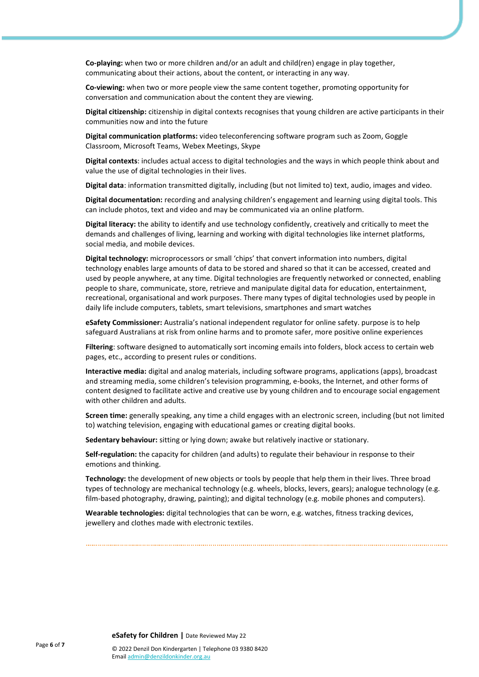**Co-playing:** when two or more children and/or an adult and child(ren) engage in play together, communicating about their actions, about the content, or interacting in any way.

**Co-viewing:** when two or more people view the same content together, promoting opportunity for conversation and communication about the content they are viewing.

**Digital citizenship:** citizenship in digital contexts recognises that young children are active participants in their communities now and into the future

**Digital communication platforms:** video teleconferencing software program such as Zoom, Goggle Classroom, Microsoft Teams, Webex Meetings, Skype

**Digital contexts**: includes actual access to digital technologies and the ways in which people think about and value the use of digital technologies in their lives.

**Digital data**: information transmitted digitally, including (but not limited to) text, audio, images and video.

**Digital documentation:** recording and analysing children's engagement and learning using digital tools. This can include photos, text and video and may be communicated via an online platform.

**Digital literacy:** the ability to identify and use technology confidently, creatively and critically to meet the demands and challenges of living, learning and working with digital technologies like internet platforms, social media, and mobile devices.

**Digital technology:** microprocessors or small 'chips' that convert information into numbers, digital technology enables large amounts of data to be stored and shared so that it can be accessed, created and used by people anywhere, at any time. Digital technologies are frequently networked or connected, enabling people to share, communicate, store, retrieve and manipulate digital data for education, entertainment, recreational, organisational and work purposes. There many types of digital technologies used by people in daily life include computers, tablets, smart televisions, smartphones and smart watches

**eSafety Commissioner:** Australia's national independent regulator for online safety. purpose is to help safeguard Australians at risk from online harms and to promote safer, more positive online experiences

**Filtering**: software designed to automatically sort incoming emails into folders, block access to certain web pages, etc., according to present rules or conditions.

**Interactive media:** digital and analog materials, including software programs, applications (apps), broadcast and streaming media, some children's television programming, e-books, the Internet, and other forms of content designed to facilitate active and creative use by young children and to encourage social engagement with other children and adults.

**Screen time:** generally speaking, any time a child engages with an electronic screen, including (but not limited to) watching television, engaging with educational games or creating digital books.

**Sedentary behaviour:** sitting or lying down; awake but relatively inactive or stationary.

**Self-regulation:** the capacity for children (and adults) to regulate their behaviour in response to their emotions and thinking.

**Technology:** the development of new objects or tools by people that help them in their lives. Three broad types of technology are mechanical technology (e.g. wheels, blocks, levers, gears); analogue technology (e.g. film-based photography, drawing, painting); and digital technology (e.g. mobile phones and computers).

**Wearable technologies:** digital technologies that can be worn, e.g. watches, fitness tracking devices, jewellery and clothes made with electronic textiles.